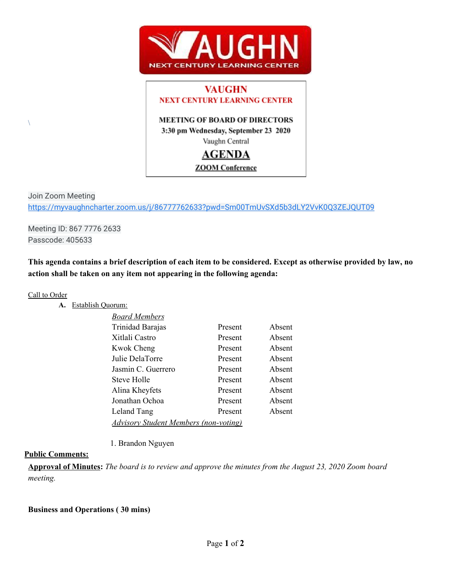

## **VAUGHN NEXT CENTURY LEARNING CENTER**

#### **MEETING OF BOARD OF DIRECTORS** 3:30 pm Wednesday, September 23 2020

Vaughn Central

# **AGENDA**

### **ZOOM** Conference

Join Zoom Meeting <https://myvaughncharter.zoom.us/j/86777762633?pwd=Sm00TmUvSXd5b3dLY2VvK0Q3ZEJQUT09>

Meeting ID: 867 7776 2633 Passcode: 405633

This agenda contains a brief description of each item to be considered. Except as otherwise provided by law, no **action shall be taken on any item not appearing in the following agenda:**

#### Call to Order

 $\setminus$ 

#### **A.** Establish Quorum:

| <b>Board Members</b>                         |         |        |  |
|----------------------------------------------|---------|--------|--|
| Trinidad Barajas                             | Present | Absent |  |
| Xitlali Castro                               | Present | Absent |  |
| <b>Kwok Cheng</b>                            | Present | Absent |  |
| Julie DelaTorre                              | Present | Absent |  |
| Jasmin C. Guerrero                           | Present | Absent |  |
| Steve Holle                                  | Present | Absent |  |
| Alina Kheyfets                               | Present | Absent |  |
| Jonathan Ochoa                               | Present | Absent |  |
| Leland Tang                                  | Present | Absent |  |
| <b>Advisory Student Members (non-voting)</b> |         |        |  |

1. Brandon Nguyen

#### **Public Comments:**

Approval of Minutes: The board is to review and approve the minutes from the August 23, 2020 Zoom board *meeting.*

#### **Business and Operations ( 30 mins)**